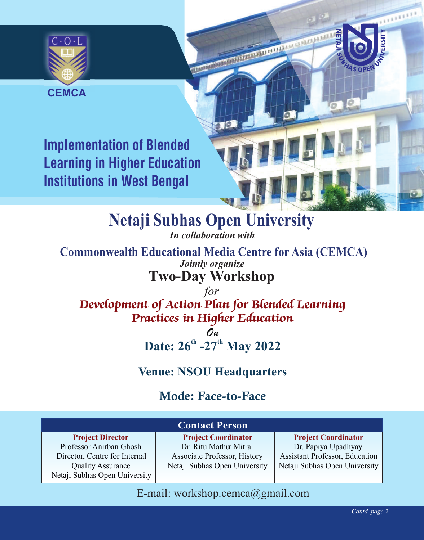

**CEMCA**

**Implementation of Blended Learning in Higher Education Institutions in West Bengal**

**Netaji Subhas Open University** 

*In collaboration with* 

**Two-Day Workshop Commonwealth Educational Media Centre for Asia (CEMCA)** *Jointly organize*

*for Development of Action Plan for Blended Learning Practices in Higher Education*

> *On* Date:  $26^{th}$  -27<sup>th</sup> May 2022

## **Venue: NSOU Headquarters**

## Mode: Face-to-Face

| <b>Contact Person</b>                                     |                               |                                       |
|-----------------------------------------------------------|-------------------------------|---------------------------------------|
| <b>Project Director</b>                                   | <b>Project Coordinator</b>    | <b>Project Coordinator</b>            |
| Professor Anirban Ghosh                                   | Dr. Ritu Mathur Mitra         | Dr. Papiya Upadhyay                   |
| Director, Centre for Internal                             | Associate Professor, History  | <b>Assistant Professor, Education</b> |
| <b>Quality Assurance</b><br>Netaji Subhas Open University | Netaji Subhas Open University | Netaji Subhas Open University         |

### E-mail: workshop.cemca@gmail.com

**TELLE**